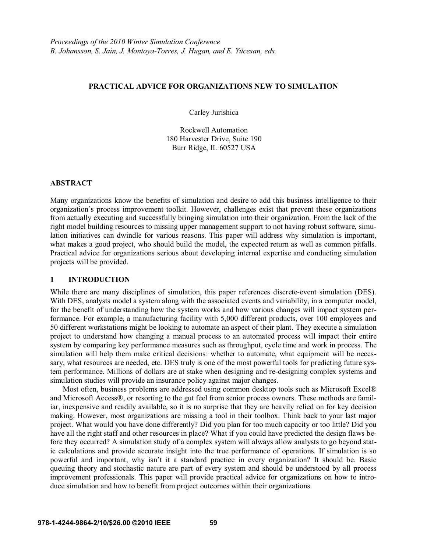### **PRACTICAL ADVICE FOR ORGANIZATIONS NEW TO SIMULATION**

Carley Jurishica

Rockwell Automation 180 Harvester Drive, Suite 190 Burr Ridge, IL 60527 USA

### **ABSTRACT**

Many organizations know the benefits of simulation and desire to add this business intelligence to their organization's process improvement toolkit. However, challenges exist that prevent these organizations from actually executing and successfully bringing simulation into their organization. From the lack of the right model building resources to missing upper management support to not having robust software, simulation initiatives can dwindle for various reasons. This paper will address why simulation is important, what makes a good project, who should build the model, the expected return as well as common pitfalls. Practical advice for organizations serious about developing internal expertise and conducting simulation projects will be provided.

### **1 INTRODUCTION**

While there are many disciplines of simulation, this paper references discrete-event simulation (DES). With DES, analysts model a system along with the associated events and variability, in a computer model, for the benefit of understanding how the system works and how various changes will impact system performance. For example, a manufacturing facility with 5,000 different products, over 100 employees and 50 different workstations might be looking to automate an aspect of their plant. They execute a simulation project to understand how changing a manual process to an automated process will impact their entire system by comparing key performance measures such as throughput, cycle time and work in process. The simulation will help them make critical decisions: whether to automate, what equipment will be necessary, what resources are needed, etc. DES truly is one of the most powerful tools for predicting future system performance. Millions of dollars are at stake when designing and re-designing complex systems and simulation studies will provide an insurance policy against major changes.

 Most often, business problems are addressed using common desktop tools such as Microsoft Excel® and Microsoft Access®, or resorting to the gut feel from senior process owners. These methods are familiar, inexpensive and readily available, so it is no surprise that they are heavily relied on for key decision making. However, most organizations are missing a tool in their toolbox. Think back to your last major project. What would you have done differently? Did you plan for too much capacity or too little? Did you have all the right staff and other resources in place? What if you could have predicted the design flaws before they occurred? A simulation study of a complex system will always allow analysts to go beyond static calculations and provide accurate insight into the true performance of operations. If simulation is so powerful and important, why isn't it a standard practice in every organization? It should be. Basic queuing theory and stochastic nature are part of every system and should be understood by all process improvement professionals. This paper will provide practical advice for organizations on how to introduce simulation and how to benefit from project outcomes within their organizations.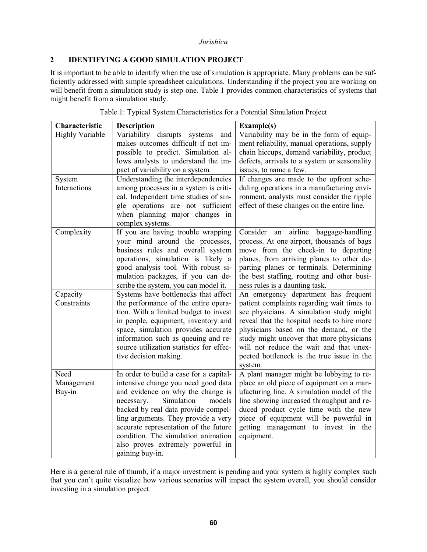# **2 IDENTIFYING A GOOD SIMULATION PROJECT**

It is important to be able to identify when the use of simulation is appropriate. Many problems can be sufficiently addressed with simple spreadsheet calculations. Understanding if the project you are working on will benefit from a simulation study is step one. Table 1 provides common characteristics of systems that might benefit from a simulation study.

| Characteristic         | <b>Description</b>                                                              | <b>Example(s)</b>                                                                   |
|------------------------|---------------------------------------------------------------------------------|-------------------------------------------------------------------------------------|
| <b>Highly Variable</b> | Variability disrupts systems<br>and                                             | Variability may be in the form of equip-                                            |
|                        | makes outcomes difficult if not im-                                             | ment reliability, manual operations, supply                                         |
|                        | possible to predict. Simulation al-                                             | chain hiccups, demand variability, product                                          |
|                        | lows analysts to understand the im-                                             | defects, arrivals to a system or seasonality                                        |
|                        | pact of variability on a system.                                                | issues, to name a few.                                                              |
| System                 | Understanding the interdependencies                                             | If changes are made to the upfront sche-                                            |
| Interactions           | among processes in a system is criti-                                           | duling operations in a manufacturing envi-                                          |
|                        | cal. Independent time studies of sin-                                           | ronment, analysts must consider the ripple                                          |
|                        | gle operations are not sufficient                                               | effect of these changes on the entire line.                                         |
|                        | when planning major changes in                                                  |                                                                                     |
|                        | complex systems.                                                                |                                                                                     |
| Complexity             | If you are having trouble wrapping                                              | Consider<br>airline<br>baggage-handling<br>an                                       |
|                        | your mind around the processes,                                                 | process. At one airport, thousands of bags                                          |
|                        | business rules and overall system                                               | move from the check-in to departing                                                 |
|                        | operations, simulation is likely a                                              | planes, from arriving planes to other de-                                           |
|                        | good analysis tool. With robust si-                                             | parting planes or terminals. Determining                                            |
|                        | mulation packages, if you can de-                                               | the best staffing, routing and other busi-                                          |
|                        | scribe the system, you can model it.                                            | ness rules is a daunting task.                                                      |
| Capacity               | Systems have bottlenecks that affect                                            | An emergency department has frequent                                                |
| Constraints            | the performance of the entire opera-                                            | patient complaints regarding wait times to                                          |
|                        | tion. With a limited budget to invest                                           | see physicians. A simulation study might                                            |
|                        | in people, equipment, inventory and                                             | reveal that the hospital needs to hire more                                         |
|                        | space, simulation provides accurate                                             | physicians based on the demand, or the                                              |
|                        | information such as queuing and re-<br>source utilization statistics for effec- | study might uncover that more physicians<br>will not reduce the wait and that unex- |
|                        | tive decision making.                                                           | pected bottleneck is the true issue in the                                          |
|                        |                                                                                 |                                                                                     |
| Need                   | In order to build a case for a capital-                                         | system.<br>A plant manager might be lobbying to re-                                 |
| Management             | intensive change you need good data                                             | place an old piece of equipment on a man-                                           |
| Buy-in                 | and evidence on why the change is                                               | ufacturing line. A simulation model of the                                          |
|                        | Simulation<br>models<br>necessary.                                              | line showing increased throughput and re-                                           |
|                        | backed by real data provide compel-                                             | duced product cycle time with the new                                               |
|                        | ling arguments. They provide a very                                             | piece of equipment will be powerful in                                              |
|                        | accurate representation of the future                                           | getting management to invest in the                                                 |
|                        | condition. The simulation animation                                             | equipment.                                                                          |
|                        | also proves extremely powerful in                                               |                                                                                     |
|                        | gaining buy-in.                                                                 |                                                                                     |

Here is a general rule of thumb, if a major investment is pending and your system is highly complex such that you can't quite visualize how various scenarios will impact the system overall, you should consider investing in a simulation project.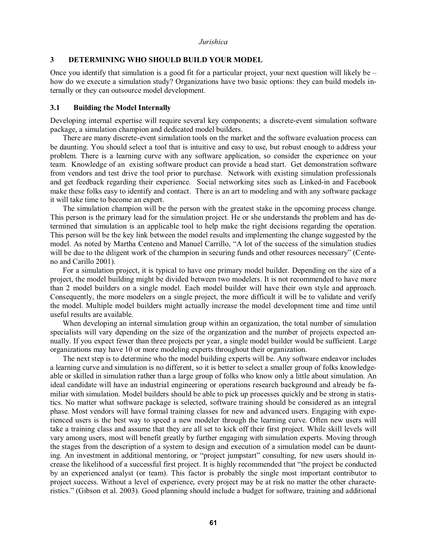### **3 DETERMINING WHO SHOULD BUILD YOUR MODEL**

Once you identify that simulation is a good fit for a particular project, your next question will likely be  $$ how do we execute a simulation study? Organizations have two basic options: they can build models internally or they can outsource model development.

### **3.1 Building the Model Internally**

Developing internal expertise will require several key components; a discrete-event simulation software package, a simulation champion and dedicated model builders.

 There are many discrete-event simulation tools on the market and the software evaluation process can be daunting. You should select a tool that is intuitive and easy to use, but robust enough to address your problem. There is a learning curve with any software application, so consider the experience on your team. Knowledge of an existing software product can provide a head start. Get demonstration software from vendors and test drive the tool prior to purchase. Network with existing simulation professionals and get feedback regarding their experience. Social networking sites such as Linked-in and Facebook make these folks easy to identify and contact. There is an art to modeling and with any software package it will take time to become an expert.

 The simulation champion will be the person with the greatest stake in the upcoming process change. This person is the primary lead for the simulation project. He or she understands the problem and has determined that simulation is an applicable tool to help make the right decisions regarding the operation. This person will be the key link between the model results and implementing the change suggested by the model. As noted by Martha Centeno and Manuel Carrillo, "A lot of the success of the simulation studies will be due to the diligent work of the champion in securing funds and other resources necessary" (Centeno and Carillo 2001).

 For a simulation project, it is typical to have one primary model builder. Depending on the size of a project, the model building might be divided between two modelers. It is not recommended to have more than 2 model builders on a single model. Each model builder will have their own style and approach. Consequently, the more modelers on a single project, the more difficult it will be to validate and verify the model. Multiple model builders might actually increase the model development time and time until useful results are available.

 When developing an internal simulation group within an organization, the total number of simulation specialists will vary depending on the size of the organization and the number of projects expected annually. If you expect fewer than three projects per year, a single model builder would be sufficient. Large organizations may have 10 or more modeling experts throughout their organization.

 The next step is to determine who the model building experts will be. Any software endeavor includes a learning curve and simulation is no different, so it is better to select a smaller group of folks knowledgeable or skilled in simulation rather than a large group of folks who know only a little about simulation. An ideal candidate will have an industrial engineering or operations research background and already be familiar with simulation. Model builders should be able to pick up processes quickly and be strong in statistics. No matter what software package is selected, software training should be considered as an integral phase. Most vendors will have formal training classes for new and advanced users. Engaging with experienced users is the best way to speed a new modeler through the learning curve. Often new users will take a training class and assume that they are all set to kick off their first project. While skill levels will vary among users, most will benefit greatly by further engaging with simulation experts. Moving through the stages from the description of a system to design and execution of a simulation model can be daunting. An investment in additional mentoring, or "project jumpstart" consulting, for new users should increase the likelihood of a successful first project. It is highly recommended that "the project be conducted by an experienced analyst (or team). This factor is probably the single most important contributor to project success. Without a level of experience, every project may be at risk no matter the other characteristics." (Gibson et al. 2003). Good planning should include a budget for software, training and additional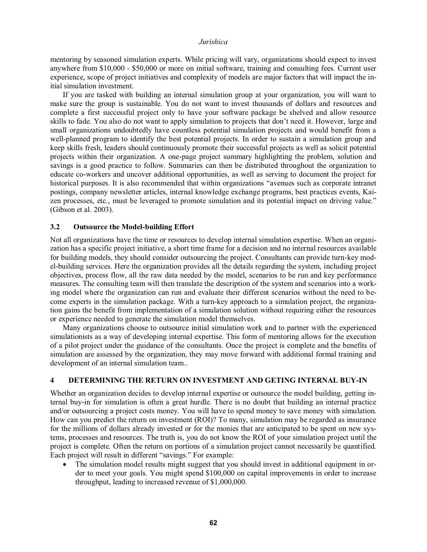mentoring by seasoned simulation experts. While pricing will vary, organizations should expect to invest anywhere from \$10,000 - \$50,000 or more on initial software, training and consulting fees. Current user experience, scope of project initiatives and complexity of models are major factors that will impact the initial simulation investment.

If you are tasked with building an internal simulation group at your organization, you will want to make sure the group is sustainable. You do not want to invest thousands of dollars and resources and complete a first successful project only to have your software package be shelved and allow resource skills to fade. You also do not want to apply simulation to projects that don't need it. However, large and small organizations undoubtedly have countless potential simulation projects and would benefit from a well-planned program to identify the best potential projects. In order to sustain a simulation group and keep skills fresh, leaders should continuously promote their successful projects as well as solicit potential projects within their organization. A one-page project summary highlighting the problem, solution and savings is a good practice to follow. Summaries can then be distributed throughout the organization to educate co-workers and uncover additional opportunities, as well as serving to document the project for historical purposes. It is also recommended that within organizations "avenues such as corporate intranet postings, company newsletter articles, internal knowledge exchange programs, best practices events, Kaizen processes, etc., must be leveraged to promote simulation and its potential impact on driving value." (Gibson et al. 2003).

### **3.2 Outsource the Model-building Effort**

Not all organizations have the time or resources to develop internal simulation expertise. When an organization has a specific project initiative, a short time frame for a decision and no internal resources available for building models, they should consider outsourcing the project. Consultants can provide turn-key model-building services. Here the organization provides all the details regarding the system, including project objectives, process flow, all the raw data needed by the model, scenarios to be run and key performance measures. The consulting team will then translate the description of the system and scenarios into a working model where the organization can run and evaluate their different scenarios without the need to become experts in the simulation package. With a turn-key approach to a simulation project, the organization gains the benefit from implementation of a simulation solution without requiring either the resources or experience needed to generate the simulation model themselves.

 Many organizations choose to outsource initial simulation work and to partner with the experienced simulationists as a way of developing internal expertise. This form of mentoring allows for the execution of a pilot project under the guidance of the consultants. Once the project is complete and the benefits of simulation are assessed by the organization, they may move forward with additional formal training and development of an internal simulation team..

## **4 DETERMINING THE RETURN ON INVESTMENT AND GETING INTERNAL BUY-IN**

Whether an organization decides to develop internal expertise or outsource the model building, getting internal buy-in for simulation is often a great hurdle. There is no doubt that building an internal practice and/or outsourcing a project costs money. You will have to spend money to save money with simulation. How can you predict the return on investment (ROI)? To many, simulation may be regarded as insurance for the millions of dollars already invested or for the monies that are anticipated to be spent on new systems, processes and resources. The truth is, you do not know the ROI of your simulation project until the project is complete. Often the return on portions of a simulation project cannot necessarily be quantified. Each project will result in different "savings." For example:

 $\bullet$  The simulation model results might suggest that you should invest in additional equipment in order to meet your goals. You might spend \$100,000 on capital improvements in order to increase throughput, leading to increased revenue of \$1,000,000.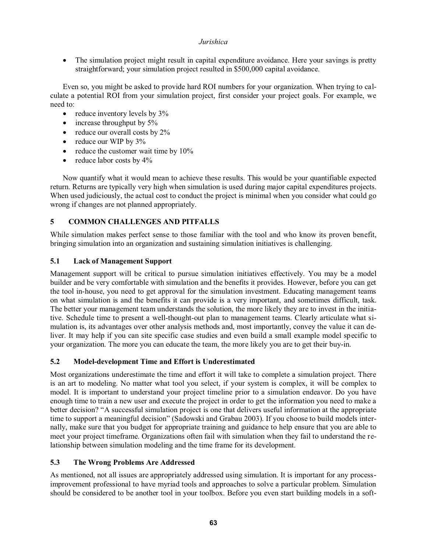• The simulation project might result in capital expenditure avoidance. Here your savings is pretty straightforward; your simulation project resulted in \$500,000 capital avoidance.

Even so, you might be asked to provide hard ROI numbers for your organization. When trying to calculate a potential ROI from your simulation project, first consider your project goals. For example, we need to:

- reduce inventory levels by  $3\%$
- increase throughput by 5%
- reduce our overall costs by 2%
- reduce our WIP by  $3\%$
- reduce the customer wait time by 10%
- $\bullet$ reduce labor costs by 4%

 Now quantify what it would mean to achieve these results. This would be your quantifiable expected return. Returns are typically very high when simulation is used during major capital expenditures projects. When used judiciously, the actual cost to conduct the project is minimal when you consider what could go wrong if changes are not planned appropriately.

# **5 COMMON CHALLENGES AND PITFALLS**

While simulation makes perfect sense to those familiar with the tool and who know its proven benefit, bringing simulation into an organization and sustaining simulation initiatives is challenging.

# **5.1 Lack of Management Support**

Management support will be critical to pursue simulation initiatives effectively. You may be a model builder and be very comfortable with simulation and the benefits it provides. However, before you can get the tool in-house, you need to get approval for the simulation investment. Educating management teams on what simulation is and the benefits it can provide is a very important, and sometimes difficult, task. The better your management team understands the solution, the more likely they are to invest in the initiative. Schedule time to present a well-thought-out plan to management teams. Clearly articulate what simulation is, its advantages over other analysis methods and, most importantly, convey the value it can deliver. It may help if you can site specific case studies and even build a small example model specific to your organization. The more you can educate the team, the more likely you are to get their buy-in.

# **5.2 Model-development Time and Effort is Underestimated**

Most organizations underestimate the time and effort it will take to complete a simulation project. There is an art to modeling. No matter what tool you select, if your system is complex, it will be complex to model. It is important to understand your project timeline prior to a simulation endeavor. Do you have enough time to train a new user and execute the project in order to get the information you need to make a better decision? "A successful simulation project is one that delivers useful information at the appropriate time to support a meaningful decision" (Sadowski and Grabau 2003). If you choose to build models internally, make sure that you budget for appropriate training and guidance to help ensure that you are able to meet your project timeframe. Organizations often fail with simulation when they fail to understand the relationship between simulation modeling and the time frame for its development.

# **5.3 The Wrong Problems Are Addressed**

As mentioned, not all issues are appropriately addressed using simulation. It is important for any processimprovement professional to have myriad tools and approaches to solve a particular problem. Simulation should be considered to be another tool in your toolbox. Before you even start building models in a soft-